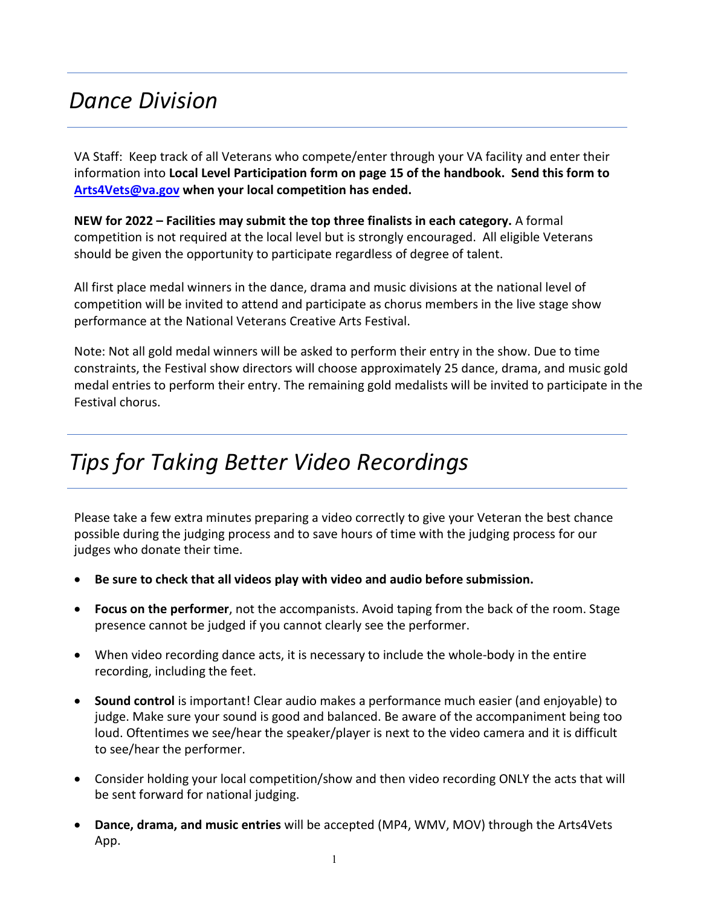# *Dance Division*

VA Staff: Keep track of all Veterans who compete/enter through your VA facility and enter their information into **Local Level Participation form on page 15 of the handbook. Send this form to [Arts4Vets@va.gov](mailto:Arts4Vets@va.gov) when your local competition has ended.**

**NEW for 2022 – Facilities may submit the top three finalists in each category.** A formal competition is not required at the local level but is strongly encouraged. All eligible Veterans should be given the opportunity to participate regardless of degree of talent.

All first place medal winners in the dance, drama and music divisions at the national level of competition will be invited to attend and participate as chorus members in the live stage show performance at the National Veterans Creative Arts Festival.

Note: Not all gold medal winners will be asked to perform their entry in the show. Due to time constraints, the Festival show directors will choose approximately 25 dance, drama, and music gold medal entries to perform their entry. The remaining gold medalists will be invited to participate in the Festival chorus.

# *Tips for Taking Better Video Recordings*

Please take a few extra minutes preparing a video correctly to give your Veteran the best chance possible during the judging process and to save hours of time with the judging process for our judges who donate their time.

- **Be sure to check that all videos play with video and audio before submission.**
- **Focus on the performer**, not the accompanists. Avoid taping from the back of the room. Stage presence cannot be judged if you cannot clearly see the performer.
- When video recording dance acts, it is necessary to include the whole-body in the entire recording, including the feet.
- **Sound control** is important! Clear audio makes a performance much easier (and enjoyable) to judge. Make sure your sound is good and balanced. Be aware of the accompaniment being too loud. Oftentimes we see/hear the speaker/player is next to the video camera and it is difficult to see/hear the performer.
- Consider holding your local competition/show and then video recording ONLY the acts that will be sent forward for national judging.
- **Dance, drama, and music entries** will be accepted (MP4, WMV, MOV) through the Arts4Vets App.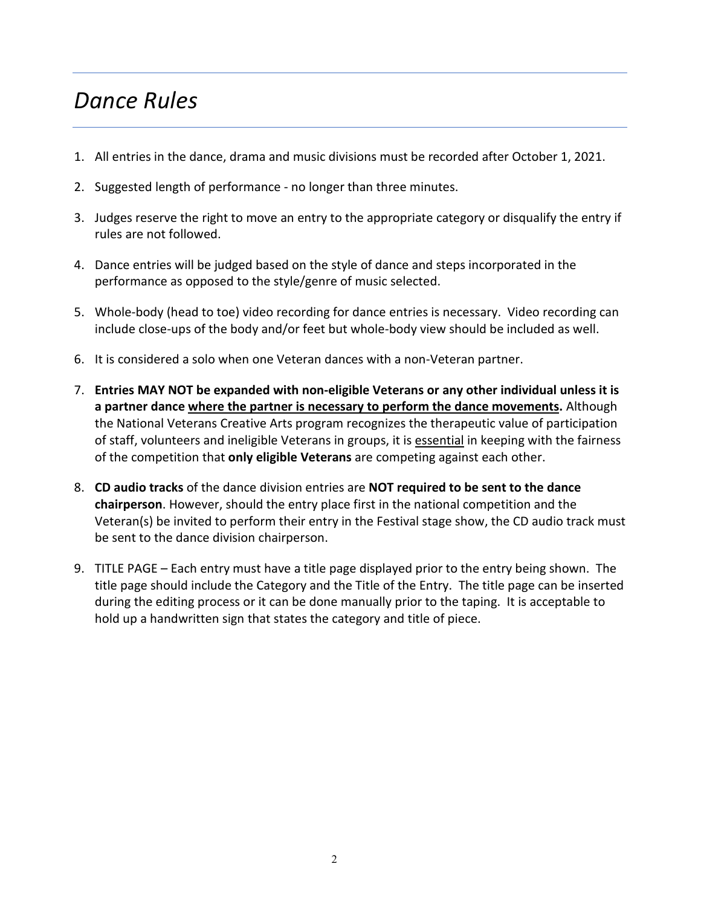# *Dance Rules*

- 1. All entries in the dance, drama and music divisions must be recorded after October 1, 2021.
- 2. Suggested length of performance no longer than three minutes.
- 3. Judges reserve the right to move an entry to the appropriate category or disqualify the entry if rules are not followed.
- 4. Dance entries will be judged based on the style of dance and steps incorporated in the performance as opposed to the style/genre of music selected.
- 5. Whole-body (head to toe) video recording for dance entries is necessary. Video recording can include close-ups of the body and/or feet but whole-body view should be included as well.
- 6. It is considered a solo when one Veteran dances with a non-Veteran partner.
- 7. **Entries MAY NOT be expanded with non-eligible Veterans or any other individual unless it is a partner dance where the partner is necessary to perform the dance movements.** Although the National Veterans Creative Arts program recognizes the therapeutic value of participation of staff, volunteers and ineligible Veterans in groups, it is essential in keeping with the fairness of the competition that **only eligible Veterans** are competing against each other.
- 8. **CD audio tracks** of the dance division entries are **NOT required to be sent to the dance chairperson**. However, should the entry place first in the national competition and the Veteran(s) be invited to perform their entry in the Festival stage show, the CD audio track must be sent to the dance division chairperson.
- 9. TITLE PAGE Each entry must have a title page displayed prior to the entry being shown. The title page should include the Category and the Title of the Entry. The title page can be inserted during the editing process or it can be done manually prior to the taping. It is acceptable to hold up a handwritten sign that states the category and title of piece.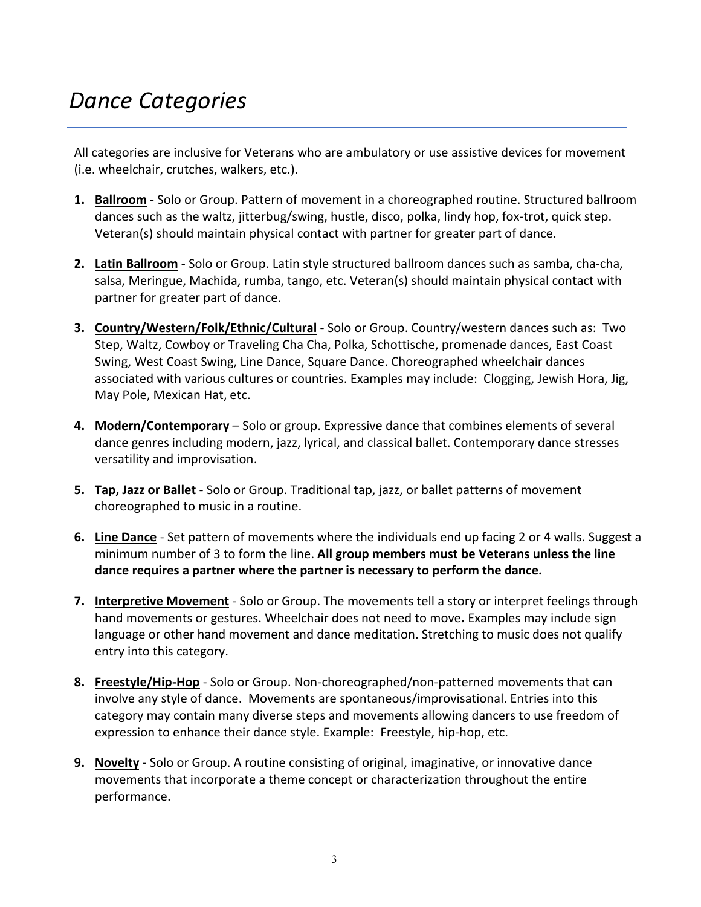# *Dance Categories*

All categories are inclusive for Veterans who are ambulatory or use assistive devices for movement (i.e. wheelchair, crutches, walkers, etc.).

- **1. Ballroom** Solo or Group. Pattern of movement in a choreographed routine. Structured ballroom dances such as the waltz, jitterbug/swing, hustle, disco, polka, lindy hop, fox-trot, quick step. Veteran(s) should maintain physical contact with partner for greater part of dance.
- **2. Latin Ballroom** Solo or Group. Latin style structured ballroom dances such as samba, cha-cha, salsa, Meringue, Machida, rumba, tango, etc. Veteran(s) should maintain physical contact with partner for greater part of dance.
- **3. Country/Western/Folk/Ethnic/Cultural** Solo or Group. Country/western dances such as: Two Step, Waltz, Cowboy or Traveling Cha Cha, Polka, Schottische, promenade dances, East Coast Swing, West Coast Swing, Line Dance, Square Dance. Choreographed wheelchair dances associated with various cultures or countries. Examples may include: Clogging, Jewish Hora, Jig, May Pole, Mexican Hat, etc.
- **4. Modern/Contemporary** Solo or group. Expressive dance that combines elements of several dance genres including modern, jazz, lyrical, and classical ballet. Contemporary dance stresses versatility and improvisation.
- **5. Tap, Jazz or Ballet** Solo or Group. Traditional tap, jazz, or ballet patterns of movement choreographed to music in a routine.
- **6. Line Dance** Set pattern of movements where the individuals end up facing 2 or 4 walls. Suggest a minimum number of 3 to form the line. **All group members must be Veterans unless the line dance requires a partner where the partner is necessary to perform the dance.**
- **7. Interpretive Movement** Solo or Group. The movements tell a story or interpret feelings through hand movements or gestures. Wheelchair does not need to move**.** Examples may include sign language or other hand movement and dance meditation. Stretching to music does not qualify entry into this category.
- **8. Freestyle/Hip-Hop** Solo or Group. Non-choreographed/non-patterned movements that can involve any style of dance. Movements are spontaneous/improvisational. Entries into this category may contain many diverse steps and movements allowing dancers to use freedom of expression to enhance their dance style. Example: Freestyle, hip-hop, etc.
- **9. Novelty** Solo or Group. A routine consisting of original, imaginative, or innovative dance movements that incorporate a theme concept or characterization throughout the entire performance.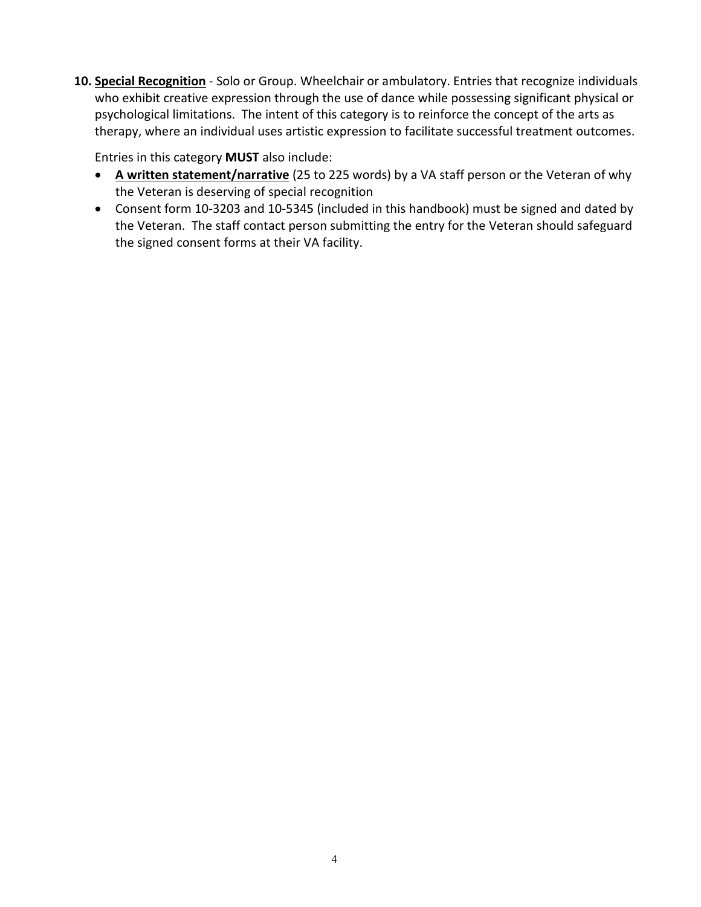**10. Special Recognition** - Solo or Group. Wheelchair or ambulatory. Entries that recognize individuals who exhibit creative expression through the use of dance while possessing significant physical or psychological limitations. The intent of this category is to reinforce the concept of the arts as therapy, where an individual uses artistic expression to facilitate successful treatment outcomes.

Entries in this category **MUST** also include:

- **A written statement/narrative** (25 to 225 words) by a VA staff person or the Veteran of why the Veteran is deserving of special recognition
- Consent form 10-3203 and 10-5345 (included in this handbook) must be signed and dated by the Veteran. The staff contact person submitting the entry for the Veteran should safeguard the signed consent forms at their VA facility.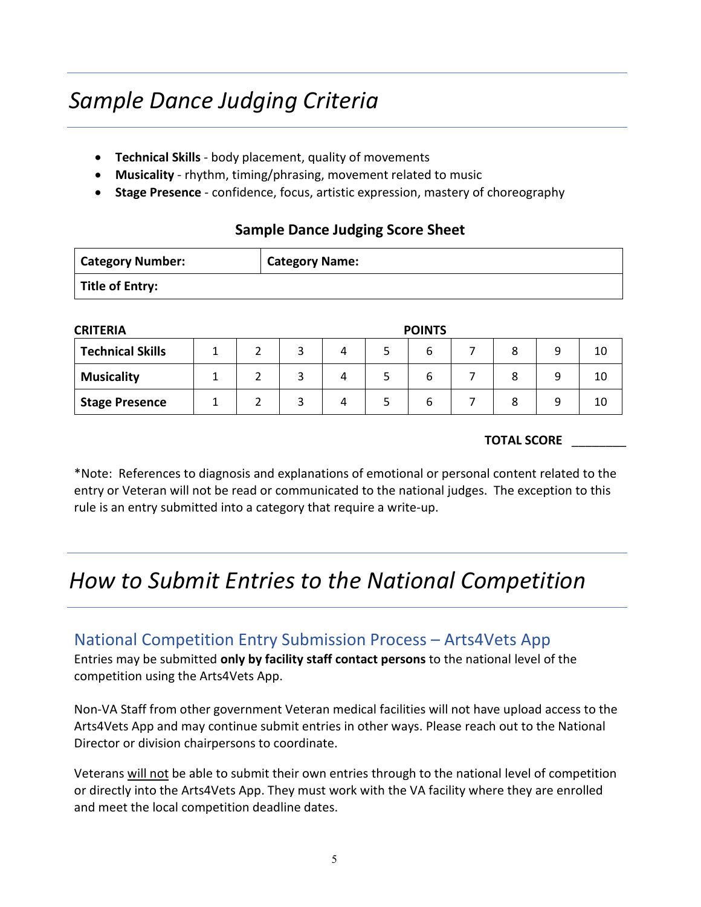# *Sample Dance Judging Criteria*

- **Technical Skills** body placement, quality of movements
- **Musicality**  rhythm, timing/phrasing, movement related to music
- **Stage Presence** confidence, focus, artistic expression, mastery of choreography

### **Sample Dance Judging Score Sheet**

| <b>Category Number:</b> | <b>Category Name:</b> |
|-------------------------|-----------------------|
| Title of Entry:         |                       |

| <b>CRITERIA</b>         | <b>POINTS</b> |  |  |   |  |   |  |   |    |
|-------------------------|---------------|--|--|---|--|---|--|---|----|
| <b>Technical Skills</b> |               |  |  |   |  | o |  | q | 10 |
| <b>Musicality</b>       |               |  |  |   |  | ь |  | Q | 10 |
| <b>Stage Presence</b>   |               |  |  | 4 |  |   |  |   | 10 |

#### **TOTAL SCORE** \_\_\_\_\_\_\_\_

\*Note: References to diagnosis and explanations of emotional or personal content related to the entry or Veteran will not be read or communicated to the national judges. The exception to this rule is an entry submitted into a category that require a write-up.

### *How to Submit Entries to the National Competition*

### National Competition Entry Submission Process – Arts4Vets App

Entries may be submitted **only by facility staff contact persons** to the national level of the competition using the Arts4Vets App.

Non-VA Staff from other government Veteran medical facilities will not have upload access to the Arts4Vets App and may continue submit entries in other ways. Please reach out to the National Director or division chairpersons to coordinate.

Veterans will not be able to submit their own entries through to the national level of competition or directly into the Arts4Vets App. They must work with the VA facility where they are enrolled and meet the local competition deadline dates.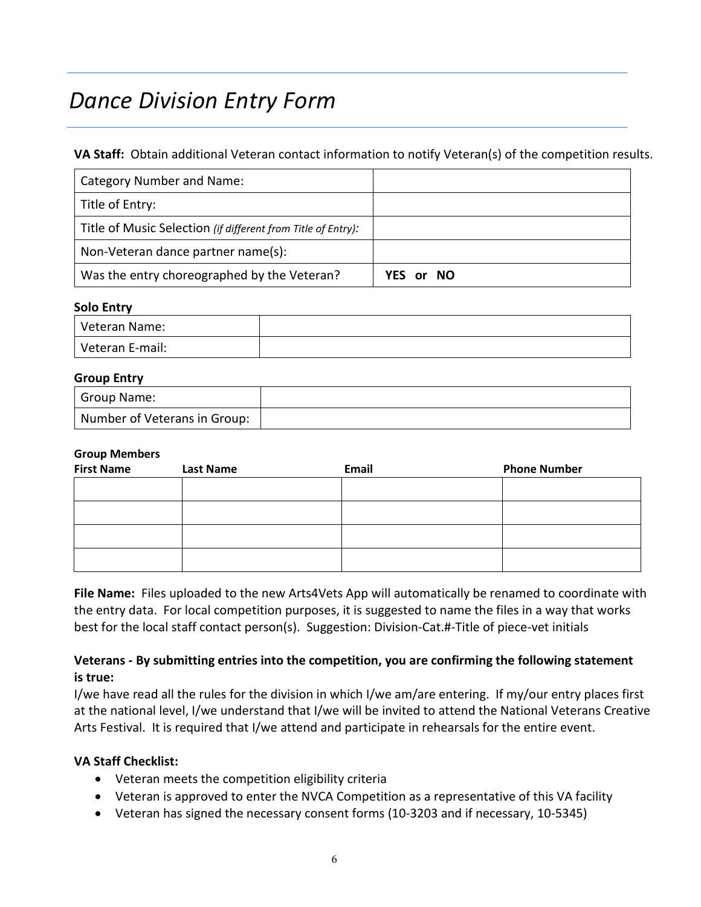# *Dance Division Entry Form*

#### **VA Staff:** Obtain additional Veteran contact information to notify Veteran(s) of the competition results.

| Category Number and Name:                                    |           |
|--------------------------------------------------------------|-----------|
| Title of Entry:                                              |           |
| Title of Music Selection (if different from Title of Entry): |           |
| Non-Veteran dance partner name(s):                           |           |
| Was the entry choreographed by the Veteran?                  | YES or NO |

#### **Solo Entry**

| Veteran Name:   |  |
|-----------------|--|
| Veteran E-mail: |  |

#### **Group Entry**

| Group Name:                  |  |
|------------------------------|--|
| Number of Veterans in Group: |  |

#### **Group Members**

| <b>First Name</b><br><b>Last Name</b> |  | Email | <b>Phone Number</b> |  |  |
|---------------------------------------|--|-------|---------------------|--|--|
|                                       |  |       |                     |  |  |
|                                       |  |       |                     |  |  |
|                                       |  |       |                     |  |  |
|                                       |  |       |                     |  |  |

**File Name:** Files uploaded to the new Arts4Vets App will automatically be renamed to coordinate with the entry data. For local competition purposes, it is suggested to name the files in a way that works best for the local staff contact person(s). Suggestion: Division-Cat.#-Title of piece-vet initials

### **Veterans - By submitting entries into the competition, you are confirming the following statement is true:**

I/we have read all the rules for the division in which I/we am/are entering. If my/our entry places first at the national level, I/we understand that I/we will be invited to attend the National Veterans Creative Arts Festival. It is required that I/we attend and participate in rehearsals for the entire event.

#### **VA Staff Checklist:**

- Veteran meets the competition eligibility criteria
- Veteran is approved to enter the NVCA Competition as a representative of this VA facility
- Veteran has signed the necessary consent forms (10-3203 and if necessary, 10-5345)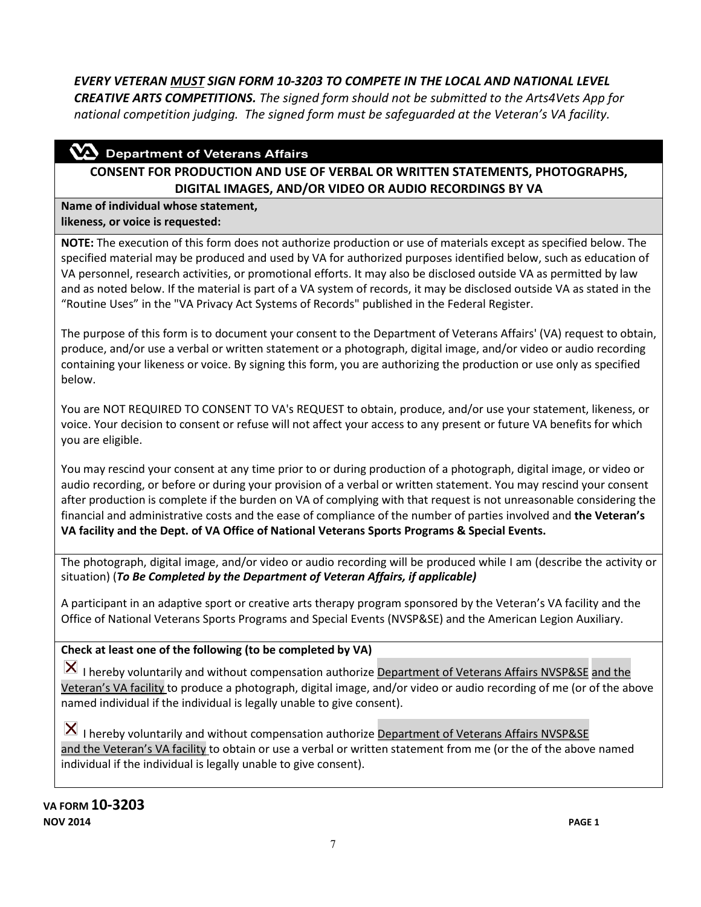*EVERY VETERAN MUST SIGN FORM 10-3203 TO COMPETE IN THE LOCAL AND NATIONAL LEVEL CREATIVE ARTS COMPETITIONS. The signed form should not be submitted to the Arts4Vets App for national competition judging. The signed form must be safeguarded at the Veteran's VA facility.* 

### $\mathbf{\Omega}$  Department of Veterans Affairs

### **CONSENT FOR PRODUCTION AND USE OF VERBAL OR WRITTEN STATEMENTS, PHOTOGRAPHS, DIGITAL IMAGES, AND/OR VIDEO OR AUDIO RECORDINGS BY VA**

**Name of individual whose statement, likeness, or voice is requested:**

**NOTE:** The execution of this form does not authorize production or use of materials except as specified below. The specified material may be produced and used by VA for authorized purposes identified below, such as education of VA personnel, research activities, or promotional efforts. It may also be disclosed outside VA as permitted by law and as noted below. If the material is part of a VA system of records, it may be disclosed outside VA as stated in the "Routine Uses" in the "VA Privacy Act Systems of Records" published in the Federal Register.

The purpose of this form is to document your consent to the Department of Veterans Affairs' (VA) request to obtain, produce, and/or use a verbal or written statement or a photograph, digital image, and/or video or audio recording containing your likeness or voice. By signing this form, you are authorizing the production or use only as specified below.

You are NOT REQUIRED TO CONSENT TO VA's REQUEST to obtain, produce, and/or use your statement, likeness, or voice. Your decision to consent or refuse will not affect your access to any present or future VA benefits for which you are eligible.

You may rescind your consent at any time prior to or during production of a photograph, digital image, or video or audio recording, or before or during your provision of a verbal or written statement. You may rescind your consent after production is complete if the burden on VA of complying with that request is not unreasonable considering the financial and administrative costs and the ease of compliance of the number of parties involved and **the Veteran's VA facility and the Dept. of VA Office of National Veterans Sports Programs & Special Events.**

The photograph, digital image, and/or video or audio recording will be produced while I am (describe the activity or situation) (*To Be Completed by the Department of Veteran Affairs, if applicable)* 

A participant in an adaptive sport or creative arts therapy program sponsored by the Veteran's VA facility and the Office of National Veterans Sports Programs and Special Events (NVSP&SE) and the American Legion Auxiliary.

### **Check at least one of the following (to be completed by VA)**

 $\vert X \vert$  I hereby voluntarily and without compensation authorize Department of Veterans Affairs NVSP&SE and the Veteran's VA facility to produce a photograph, digital image, and/or video or audio recording of me (or of the above named individual if the individual is legally unable to give consent).

 $\vert X \vert$  I hereby voluntarily and without compensation authorize **Department of Veterans Affairs NVSP&SE** and the Veteran's VA facility to obtain or use a verbal or written statement from me (or the of the above named individual if the individual is legally unable to give consent).